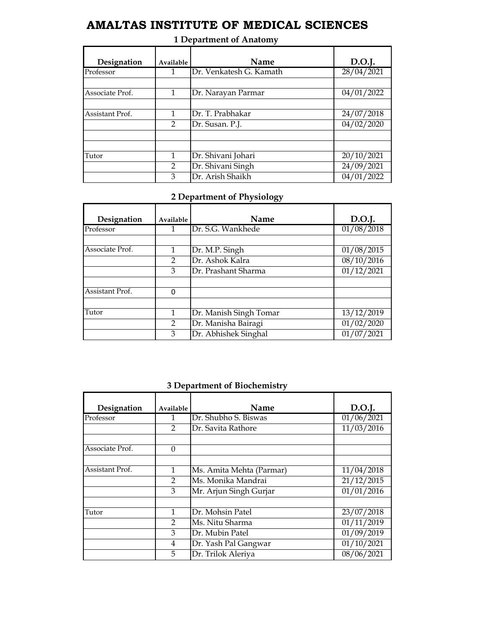# **AMALTAS INSTITUTE OF MEDICAL SCIENCES**

| Designation     | Available     | Name                    | D.O.J.     |
|-----------------|---------------|-------------------------|------------|
| Professor       | 1             | Dr. Venkatesh G. Kamath | 28/04/2021 |
|                 |               |                         |            |
| Associate Prof. | 1             | Dr. Narayan Parmar      | 04/01/2022 |
|                 |               |                         |            |
| Assistant Prof. | 1             | Dr. T. Prabhakar        | 24/07/2018 |
|                 | $\mathcal{P}$ | Dr. Susan. P.J.         | 04/02/2020 |
|                 |               |                         |            |
|                 |               |                         |            |
| Tutor           | 1             | Dr. Shivani Johari      | 20/10/2021 |
|                 | $\mathcal{P}$ | Dr. Shivani Singh       | 24/09/2021 |
|                 | 3             | Dr. Arish Shaikh        | 04/01/2022 |

### **1 Department of Anatomy**

#### **2 Department of Physiology**

| Designation     | Available     | Name                   | D.O.J.              |
|-----------------|---------------|------------------------|---------------------|
| Professor       | 1.            | Dr. S.G. Wankhede      | $\sqrt{01}/08/2018$ |
|                 |               |                        |                     |
| Associate Prof. |               | Dr. M.P. Singh         | 01/08/2015          |
|                 | 2             | Dr. Ashok Kalra        | 08/10/2016          |
|                 | 3             | Dr. Prashant Sharma    | $\sqrt{01}/12/2021$ |
|                 |               |                        |                     |
| Assistant Prof. | $\Omega$      |                        |                     |
|                 |               |                        |                     |
| Tutor           | 1             | Dr. Manish Singh Tomar | 13/12/2019          |
|                 | $\mathcal{P}$ | Dr. Manisha Bairagi    | 01/02/2020          |
|                 | 3             | Dr. Abhishek Singhal   | 01/07/2021          |

#### **3 Department of Biochemistry**

| Designation     | Available      | Name                     | D.O.J.                  |
|-----------------|----------------|--------------------------|-------------------------|
| Professor       |                | Dr. Shubho S. Biswas     | $\frac{01}{06}$ /2021   |
|                 | $\mathcal{L}$  | Dr. Savita Rathore       | $\overline{11}/03/2016$ |
|                 |                |                          |                         |
| Associate Prof. | $\Omega$       |                          |                         |
| Assistant Prof. | 1              | Ms. Amita Mehta (Parmar) | 11/04/2018              |
|                 | $\mathcal{L}$  | Ms. Monika Mandrai       | 21/12/2015              |
|                 | 3              | Mr. Arjun Singh Gurjar   | 01/01/2016              |
|                 |                |                          |                         |
| Tutor           |                | Dr. Mohsin Patel         | 23/07/2018              |
|                 | $\overline{2}$ | Ms. Nitu Sharma          | 01/11/2019              |
|                 | 3              | Dr. Mubin Patel          | 01/09/2019              |
|                 | 4              | Dr. Yash Pal Gangwar     | 01/10/2021              |
|                 | 5              | Dr. Trilok Aleriya       | 08/06/2021              |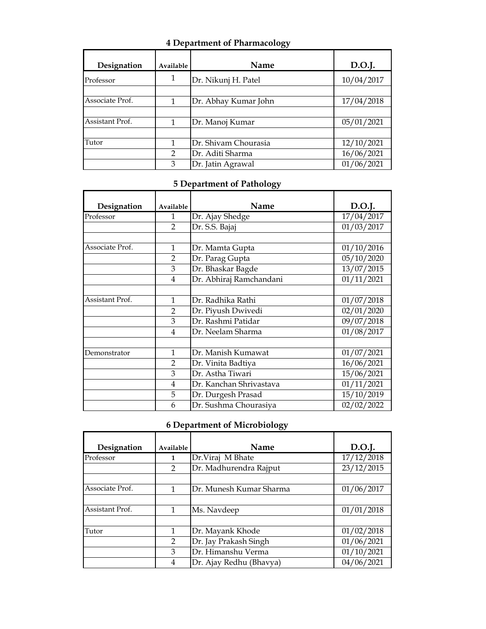## **4 Department of Pharmacology**

| Designation     | Available     | Name                 | D.O.J.     |
|-----------------|---------------|----------------------|------------|
| Professor       | 1             | Dr. Nikunj H. Patel  | 10/04/2017 |
|                 |               |                      |            |
| Associate Prof. | 1             | Dr. Abhay Kumar John | 17/04/2018 |
|                 |               |                      |            |
| Assistant Prof. |               | Dr. Manoj Kumar      | 05/01/2021 |
|                 |               |                      |            |
| Tutor           |               | Dr. Shivam Chourasia | 12/10/2021 |
|                 | $\mathcal{P}$ | Dr. Aditi Sharma     | 16/06/2021 |
|                 | 3             | Dr. Jatin Agrawal    | 01/06/2021 |

#### **5 Department of Pathology**

| Designation     | Available      | Name                    | D.O.J.                  |
|-----------------|----------------|-------------------------|-------------------------|
| Professor       | $\mathbf{1}$   | Dr. Ajay Shedge         | 17/04/2017              |
|                 | $\overline{2}$ | Dr. S.S. Bajaj          | 01/03/2017              |
|                 |                |                         |                         |
| Associate Prof. | 1              | Dr. Mamta Gupta         | 01/10/2016              |
|                 | $\overline{2}$ | Dr. Parag Gupta         | 05/10/2020              |
|                 | 3              | Dr. Bhaskar Bagde       | $\frac{13}{07}/2015$    |
|                 | 4              | Dr. Abhiraj Ramchandani | 01/11/2021              |
|                 |                |                         |                         |
| Assistant Prof. | 1              | Dr. Radhika Rathi       | 01/07/2018              |
|                 | $\overline{2}$ | Dr. Piyush Dwivedi      | 02/01/2020              |
|                 | 3              | Dr. Rashmi Patidar      | 09/07/2018              |
|                 | 4              | Dr. Neelam Sharma       | $\sqrt{01}/08/2017$     |
|                 |                |                         |                         |
| Demonstrator    | 1              | Dr. Manish Kumawat      | $\sqrt{01}/07/2021$     |
|                 | $\overline{2}$ | Dr. Vinita Badtiya      | 16/06/2021              |
|                 | 3              | Dr. Astha Tiwari        | 15/06/2021              |
|                 | $\overline{4}$ | Dr. Kanchan Shrivastava | $\overline{01}/11/2021$ |
|                 | 5              | Dr. Durgesh Prasad      | 15/10/2019              |
|                 | 6              | Dr. Sushma Chourasiya   | 02/02/2022              |

# **6 Department of Microbiology**

| Designation     | Available      | Name                    | D.O.J.     |
|-----------------|----------------|-------------------------|------------|
| Professor       | 1              | Dr.Viraj M Bhate        | 17/12/2018 |
|                 | 2              | Dr. Madhurendra Rajput  | 23/12/2015 |
| Associate Prof. | $\mathbf{1}$   | Dr. Munesh Kumar Sharma | 01/06/2017 |
| Assistant Prof. |                | Ms. Navdeep             | 01/01/2018 |
| Tutor           | $\overline{1}$ | Dr. Mayank Khode        | 01/02/2018 |
|                 | 2              | Dr. Jay Prakash Singh   | 01/06/2021 |
|                 | 3              | Dr. Himanshu Verma      | 01/10/2021 |
|                 | 4              | Dr. Ajay Redhu (Bhavya) | 04/06/2021 |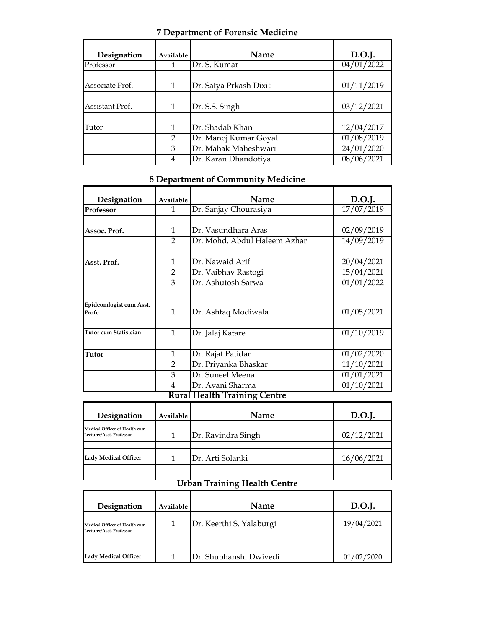### **7 Department of Forensic Medicine**

| Designation     | Available      | <b>Name</b>            | D.O.J.     |
|-----------------|----------------|------------------------|------------|
| Professor       | 1              | Dr. S. Kumar           | 04/01/2022 |
| Associate Prof. |                | Dr. Satya Prkash Dixit | 01/11/2019 |
| Assistant Prof. |                | Dr. S.S. Singh         | 03/12/2021 |
| Tutor           |                | Dr. Shadab Khan        | 12/04/2017 |
|                 | $\overline{2}$ | Dr. Manoj Kumar Goyal  | 01/08/2019 |
|                 | 3              | Dr. Mahak Maheshwari   | 24/01/2020 |
|                 | 4              | Dr. Karan Dhandotiya   | 08/06/2021 |

### **8 Department of Community Medicine**

| Designation                      | Available      | Name                         | D.O.J.     |
|----------------------------------|----------------|------------------------------|------------|
| Professor                        | 1              | Dr. Sanjay Chourasiya        | 17/07/2019 |
|                                  |                |                              |            |
| Assoc. Prof.                     | 1              | Dr. Vasundhara Aras          | 02/09/2019 |
|                                  | $\mathcal{P}$  | Dr. Mohd. Abdul Haleem Azhar | 14/09/2019 |
|                                  |                |                              |            |
| Asst. Prof.                      | $\mathbf{1}$   | Dr. Nawaid Arif              | 20/04/2021 |
|                                  | $\mathfrak{D}$ | Dr. Vaibhav Rastogi          | 15/04/2021 |
|                                  | 3              | Dr. Ashutosh Sarwa           | 01/01/2022 |
|                                  |                |                              |            |
| Epideomlogist cum Asst.<br>Profe | $\mathbf{1}$   | Dr. Ashfaq Modiwala          | 01/05/2021 |
|                                  |                |                              |            |
| Tutor cum Statistcian            | $\mathbf{1}$   | Dr. Jalaj Katare             | 01/10/2019 |
|                                  |                |                              |            |
| Tutor                            | $\mathbf{1}$   | Dr. Rajat Patidar            | 01/02/2020 |
|                                  | 2              | Dr. Priyanka Bhaskar         | 11/10/2021 |
|                                  | 3              | Dr. Suneel Meena             | 01/01/2021 |
|                                  | 4<br>ה         | Dr. Avani Sharma<br>111.11 T | 01/10/2021 |

#### **Rural Health Training Centre**

| Designation                                               | Available | Name               | D.O.J.     |
|-----------------------------------------------------------|-----------|--------------------|------------|
| Medical Officer of Health cum<br>Lecturer/Asst. Professor |           | Dr. Ravindra Singh | 02/12/2021 |
| <b>Lady Medical Officer</b>                               |           | Dr. Arti Solanki   | 16/06/2021 |
|                                                           |           |                    |            |

## **Urban Training Health Centre**

| Designation                                               | Available | <b>Name</b>              | D.O.J.     |
|-----------------------------------------------------------|-----------|--------------------------|------------|
| Medical Officer of Health cum<br>Lecturer/Asst. Professor |           | Dr. Keerthi S. Yalaburgi | 19/04/2021 |
|                                                           |           |                          |            |
| <b>Lady Medical Officer</b>                               |           | Dr. Shubhanshi Dwivedi   | 01/02/2020 |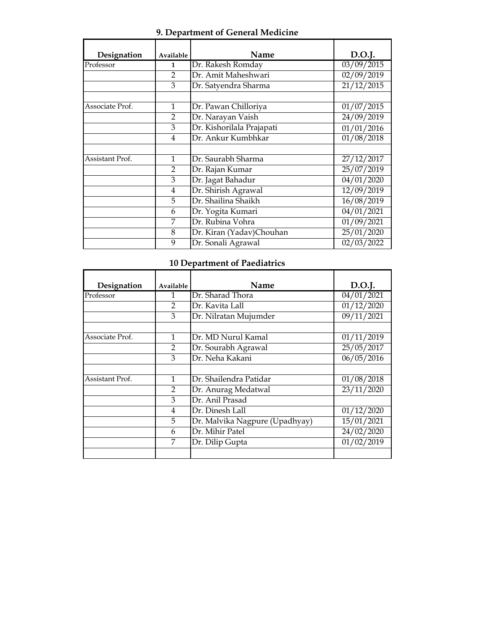### **9. Department of General Medicine**

| Designation     | Available     | Name                      | D.O.J.               |
|-----------------|---------------|---------------------------|----------------------|
| Professor       | $\mathbf{1}$  | Dr. Rakesh Romday         | $\frac{03}{09}/2015$ |
|                 | $\mathcal{P}$ | Dr. Amit Maheshwari       | 02/09/2019           |
|                 | 3             | Dr. Satyendra Sharma      | 21/12/2015           |
|                 |               |                           |                      |
| Associate Prof. | 1             | Dr. Pawan Chilloriya      | $\sqrt{01}/07/2015$  |
|                 | $\mathcal{P}$ | Dr. Narayan Vaish         | 24/09/2019           |
|                 | 3             | Dr. Kishorilala Prajapati | 01/01/2016           |
|                 | 4             | Dr. Ankur Kumbhkar        | 01/08/2018           |
|                 |               |                           |                      |
| Assistant Prof. | 1             | Dr. Saurabh Sharma        | 27/12/2017           |
|                 | 2             | Dr. Rajan Kumar           | 25/07/2019           |
|                 | 3             | Dr. Jagat Bahadur         | $\sqrt{04/01}/2020$  |
|                 | 4             | Dr. Shirish Agrawal       | 12/09/2019           |
|                 | 5             | Dr. Shailina Shaikh       | 16/08/2019           |
|                 | 6             | Dr. Yogita Kumari         | 04/01/2021           |
|                 | 7             | Dr. Rubina Vohra          | 01/09/2021           |
|                 | 8             | Dr. Kiran (Yadav)Chouhan  | 25/01/2020           |
|                 | 9             | Dr. Sonali Agrawal        | 02/03/2022           |

### **10 Department of Paediatrics**

| Designation     | Available      | Name                           | D.O.J.              |
|-----------------|----------------|--------------------------------|---------------------|
| Professor       |                | Dr. Sharad Thora               | $\sqrt{04}/01/2021$ |
|                 | $\mathfrak{D}$ | Dr. Kavita Lall                | 01/12/2020          |
|                 | 3              | Dr. Nilratan Mujumder          | 09/11/2021          |
|                 |                |                                |                     |
| Associate Prof. | $\mathbf{1}$   | Dr. MD Nurul Kamal             | 01/11/2019          |
|                 | 2              | Dr. Sourabh Agrawal            | 25/05/2017          |
|                 | 3              | Dr. Neha Kakani                | 06/05/2016          |
|                 |                |                                |                     |
| Assistant Prof. | 1              | Dr. Shailendra Patidar         | 01/08/2018          |
|                 | $\mathcal{P}$  | Dr. Anurag Medatwal            | 23/11/2020          |
|                 | 3              | Dr. Anil Prasad                |                     |
|                 | 4              | Dr. Dinesh Lall                | 01/12/2020          |
|                 | 5              | Dr. Malvika Nagpure (Upadhyay) | 15/01/2021          |
|                 | 6              | Dr. Mihir Patel                | 24/02/2020          |
|                 | 7              | Dr. Dilip Gupta                | 01/02/2019          |
|                 |                |                                |                     |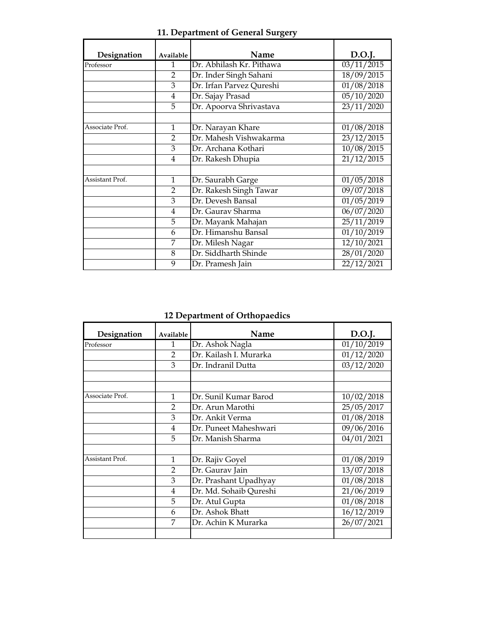| Designation     | Available      | Name                     | D.O.J.                  |
|-----------------|----------------|--------------------------|-------------------------|
| Professor       | $\mathbf{1}$   | Dr. Abhilash Kr. Pithawa | $\sqrt{03/11}/2015$     |
|                 | $\mathcal{P}$  | Dr. Inder Singh Sahani   | 18/09/2015              |
|                 | 3              | Dr. Irfan Parvez Qureshi | $\sqrt{01/08}/2018$     |
|                 | 4              | Dr. Sajay Prasad         | 05/10/2020              |
|                 | 5              | Dr. Apoorva Shrivastava  | 23/11/2020              |
|                 |                |                          |                         |
| Associate Prof. | $\mathbf{1}$   | Dr. Narayan Khare        | 01/08/2018              |
|                 | $\mathfrak{D}$ | Dr. Mahesh Vishwakarma   | 23/12/2015              |
|                 | 3              | Dr. Archana Kothari      | 10/08/2015              |
|                 | 4              | Dr. Rakesh Dhupia        | 21/12/2015              |
|                 |                |                          |                         |
| Assistant Prof. | $\mathbf{1}$   | Dr. Saurabh Garge        | 01/05/2018              |
|                 | $\mathfrak{D}$ | Dr. Rakesh Singh Tawar   | $\sqrt{09}/07/2018$     |
|                 | 3              | Dr. Devesh Bansal        | $\overline{01/05}/2019$ |
|                 | 4              | Dr. Gaurav Sharma        | 06/07/2020              |
|                 | 5              | Dr. Mayank Mahajan       | $\sqrt{25/11}/2019$     |
|                 | 6              | Dr. Himanshu Bansal      | 01/10/2019              |
|                 | 7              | Dr. Milesh Nagar         | $\frac{12}{10}/2021$    |
|                 | 8              | Dr. Siddharth Shinde     | 28/01/2020              |
|                 | 9              | Dr. Pramesh Jain         | 22/12/2021              |

**11. Department of General Surgery**

**12 Department of Orthopaedics**

| Designation     | Available      | Name                   | D.O.J.                |
|-----------------|----------------|------------------------|-----------------------|
| Professor       | 1              | Dr. Ashok Nagla        | $\frac{01}{10}/2019$  |
|                 | $\mathcal{P}$  | Dr. Kailash I. Murarka | 01/12/2020            |
|                 | 3              | Dr. Indranil Dutta     | 03/12/2020            |
|                 |                |                        |                       |
| Associate Prof. | 1              | Dr. Sunil Kumar Barod  | 10/02/2018            |
|                 | $\mathcal{P}$  | Dr. Arun Marothi       | 25/05/2017            |
|                 | 3              | Dr. Ankit Verma        | 01/08/2018            |
|                 | $\overline{4}$ | Dr. Puneet Maheshwari  | $\frac{09}{06}$ /2016 |
|                 | 5              | Dr. Manish Sharma      | 04/01/2021            |
| Assistant Prof. | $\mathbf{1}$   | Dr. Rajiv Goyel        | 01/08/2019            |
|                 | $\mathfrak{D}$ | Dr. Gaurav Jain        | 13/07/2018            |
|                 | 3              | Dr. Prashant Upadhyay  | 01/08/2018            |
|                 | 4              | Dr. Md. Sohaib Qureshi | 21/06/2019            |
|                 | 5              | Dr. Atul Gupta         | 01/08/2018            |
|                 | 6              | Dr. Ashok Bhatt        | 16/12/2019            |
|                 | 7              | Dr. Achin K Murarka    | 26/07/2021            |
|                 |                |                        |                       |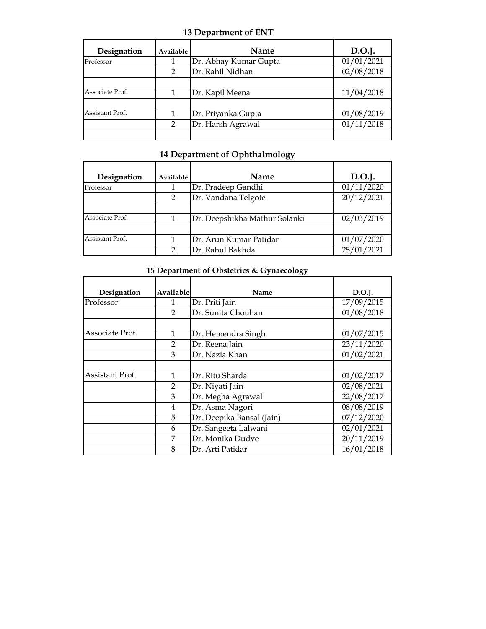#### **13 Department of ENT**

| Designation     | Available | <b>Name</b>           | D.O.J.     |
|-----------------|-----------|-----------------------|------------|
| Professor       |           | Dr. Abhay Kumar Gupta | 01/01/2021 |
|                 | 2         | Dr. Rahil Nidhan      | 02/08/2018 |
|                 |           |                       |            |
| Associate Prof. |           | Dr. Kapil Meena       | 11/04/2018 |
|                 |           |                       |            |
| Assistant Prof. |           | Dr. Priyanka Gupta    | 01/08/2019 |
|                 | 2         | Dr. Harsh Agrawal     | 01/11/2018 |
|                 |           |                       |            |

## **14 Department of Ophthalmology**

| Designation     | Available | <b>Name</b>                   | D.O.I.     |
|-----------------|-----------|-------------------------------|------------|
| Professor       |           | Dr. Pradeep Gandhi            | 01/11/2020 |
|                 | 2         | Dr. Vandana Telgote           | 20/12/2021 |
|                 |           |                               |            |
| Associate Prof. | 1         | Dr. Deepshikha Mathur Solanki | 02/03/2019 |
|                 |           |                               |            |
| Assistant Prof. |           | Dr. Arun Kumar Patidar        | 01/07/2020 |
|                 | 2         | Dr. Rahul Bakhda              | 25/01/2021 |

#### **15 Department of Obstetrics & Gynaecology**

| Designation     | Available      | Name                      | D.O.J.                |
|-----------------|----------------|---------------------------|-----------------------|
| Professor       | 1              | Dr. Priti Jain            | 17/09/2015            |
|                 | $\mathcal{L}$  | Dr. Sunita Chouhan        | $\sqrt{01}/08/2018$   |
|                 |                |                           |                       |
| Associate Prof. |                | Dr. Hemendra Singh        | 01/07/2015            |
|                 | $\overline{2}$ | Dr. Reena Jain            | $\sqrt{23}/11/2020$   |
|                 | 3              | Dr. Nazia Khan            | 01/02/2021            |
|                 |                |                           |                       |
| Assistant Prof. | 1              | Dr. Ritu Sharda           | $\sqrt{01}/02/2017$   |
|                 | $\mathfrak{D}$ | Dr. Niyati Jain           | 02/08/2021            |
|                 | 3              | Dr. Megha Agrawal         | $\frac{22}{108}/2017$ |
|                 | 4              | Dr. Asma Nagori           | $\sqrt{08}/08/2019$   |
|                 | 5              | Dr. Deepika Bansal (Jain) | 07/12/2020            |
|                 | 6              | Dr. Sangeeta Lalwani      | 02/01/2021            |
|                 | 7              | Dr. Monika Dudve          | 20/11/2019            |
|                 | 8              | Dr. Arti Patidar          | $\sqrt{16}/01/2018$   |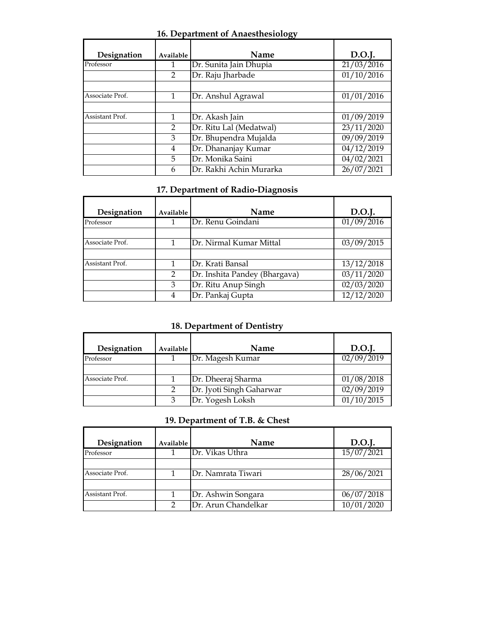| <b>16. Department of Anaesthesiology</b> |  |  |  |  |  |  |  |  |
|------------------------------------------|--|--|--|--|--|--|--|--|
|------------------------------------------|--|--|--|--|--|--|--|--|

| Designation     | Available      | Name                    | D.O.J.     |
|-----------------|----------------|-------------------------|------------|
| Professor       |                | Dr. Sunita Jain Dhupia  | 21/03/2016 |
|                 | $\overline{2}$ | Dr. Raju Jharbade       | 01/10/2016 |
| Associate Prof. | 1              | Dr. Anshul Agrawal      | 01/01/2016 |
| Assistant Prof. | $\mathbf{1}$   | Dr. Akash Jain          | 01/09/2019 |
|                 | $\mathcal{P}$  | Dr. Ritu Lal (Medatwal) | 23/11/2020 |
|                 | 3              | Dr. Bhupendra Mujalda   | 09/09/2019 |
|                 | 4              | Dr. Dhananjay Kumar     | 04/12/2019 |
|                 | 5              | Dr. Monika Saini        | 04/02/2021 |
|                 | 6              | Dr. Rakhi Achin Murarka | 26/07/2021 |

## **17. Department of Radio-Diagnosis**

| Designation     | Available | Name                          | D.O.J.     |
|-----------------|-----------|-------------------------------|------------|
| Professor       |           | Dr. Renu Goindani             | 01/09/2016 |
|                 |           |                               |            |
| Associate Prof. |           | Dr. Nirmal Kumar Mittal       | 03/09/2015 |
|                 |           |                               |            |
| Assistant Prof. |           | Dr. Krati Bansal              | 13/12/2018 |
|                 | 2         | Dr. Inshita Pandey (Bhargava) | 03/11/2020 |
|                 | 3         | Dr. Ritu Anup Singh           | 02/03/2020 |
|                 |           | Dr. Pankaj Gupta              | 12/12/2020 |

## **18. Department of Dentistry**

| Designation     | Available | Name                     | D.O.J.     |
|-----------------|-----------|--------------------------|------------|
| Professor       |           | Dr. Magesh Kumar         | 02/09/2019 |
|                 |           |                          |            |
| Associate Prof. |           | Dr. Dheeraj Sharma       | 01/08/2018 |
|                 | 2         | Dr. Jyoti Singh Gaharwar | 02/09/2019 |
|                 |           | Dr. Yogesh Loksh         | 01/10/2015 |

## **19. Department of T.B. & Chest**

| Designation     | Available | <b>Name</b>         | D.O.J.     |
|-----------------|-----------|---------------------|------------|
| Professor       |           | Dr. Vikas Uthra     | 15/07/2021 |
|                 |           |                     |            |
| Associate Prof. |           | Dr. Namrata Tiwari  | 28/06/2021 |
|                 |           |                     |            |
| Assistant Prof. |           | Dr. Ashwin Songara  | 06/07/2018 |
|                 |           | Dr. Arun Chandelkar | 10/01/2020 |